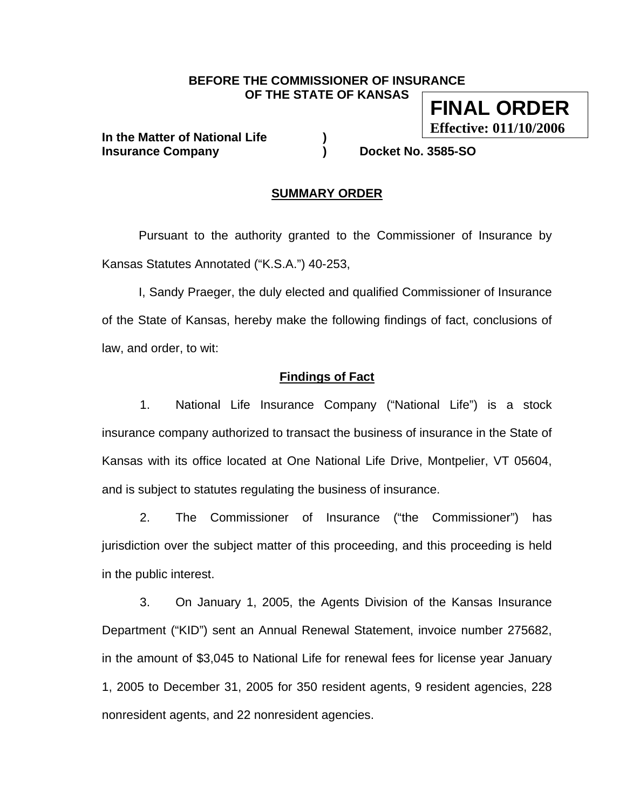#### **BEFORE THE COMMISSIONER OF INSURANCE OF THE STATE OF KANSAS**

**In the Matter of National Life ) Insurance Company ) Docket No. 3585-SO** 

**FINAL ORDER** 

**Effective: 011/10/2006**

### **SUMMARY ORDER**

 Pursuant to the authority granted to the Commissioner of Insurance by Kansas Statutes Annotated ("K.S.A.") 40-253,

 I, Sandy Praeger, the duly elected and qualified Commissioner of Insurance of the State of Kansas, hereby make the following findings of fact, conclusions of law, and order, to wit:

### **Findings of Fact**

1. National Life Insurance Company ("National Life") is a stock insurance company authorized to transact the business of insurance in the State of Kansas with its office located at One National Life Drive, Montpelier, VT 05604, and is subject to statutes regulating the business of insurance.

2. The Commissioner of Insurance ("the Commissioner") has jurisdiction over the subject matter of this proceeding, and this proceeding is held in the public interest.

3. On January 1, 2005, the Agents Division of the Kansas Insurance Department ("KID") sent an Annual Renewal Statement, invoice number 275682, in the amount of \$3,045 to National Life for renewal fees for license year January 1, 2005 to December 31, 2005 for 350 resident agents, 9 resident agencies, 228 nonresident agents, and 22 nonresident agencies.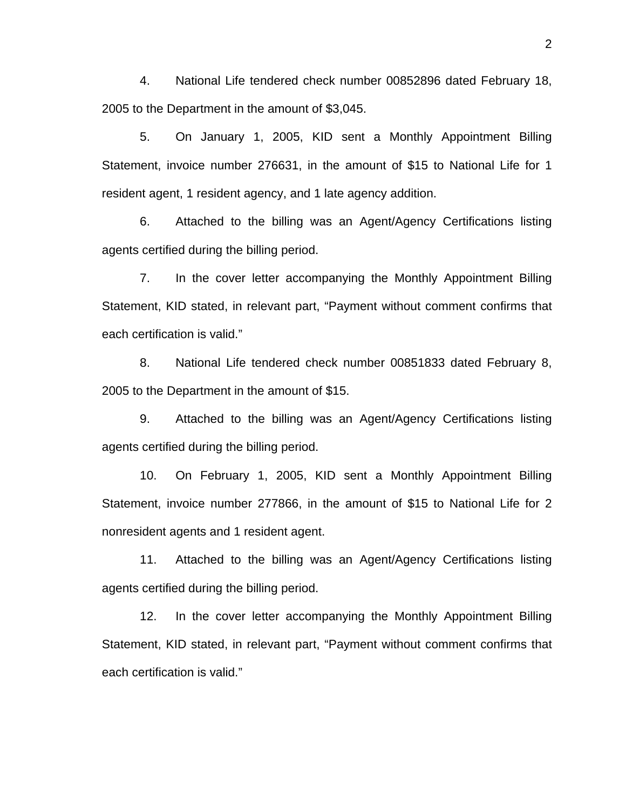4. National Life tendered check number 00852896 dated February 18, 2005 to the Department in the amount of \$3,045.

5. On January 1, 2005, KID sent a Monthly Appointment Billing Statement, invoice number 276631, in the amount of \$15 to National Life for 1 resident agent, 1 resident agency, and 1 late agency addition.

6. Attached to the billing was an Agent/Agency Certifications listing agents certified during the billing period.

7. In the cover letter accompanying the Monthly Appointment Billing Statement, KID stated, in relevant part, "Payment without comment confirms that each certification is valid."

8. National Life tendered check number 00851833 dated February 8, 2005 to the Department in the amount of \$15.

9. Attached to the billing was an Agent/Agency Certifications listing agents certified during the billing period.

10. On February 1, 2005, KID sent a Monthly Appointment Billing Statement, invoice number 277866, in the amount of \$15 to National Life for 2 nonresident agents and 1 resident agent.

11. Attached to the billing was an Agent/Agency Certifications listing agents certified during the billing period.

12. In the cover letter accompanying the Monthly Appointment Billing Statement, KID stated, in relevant part, "Payment without comment confirms that each certification is valid."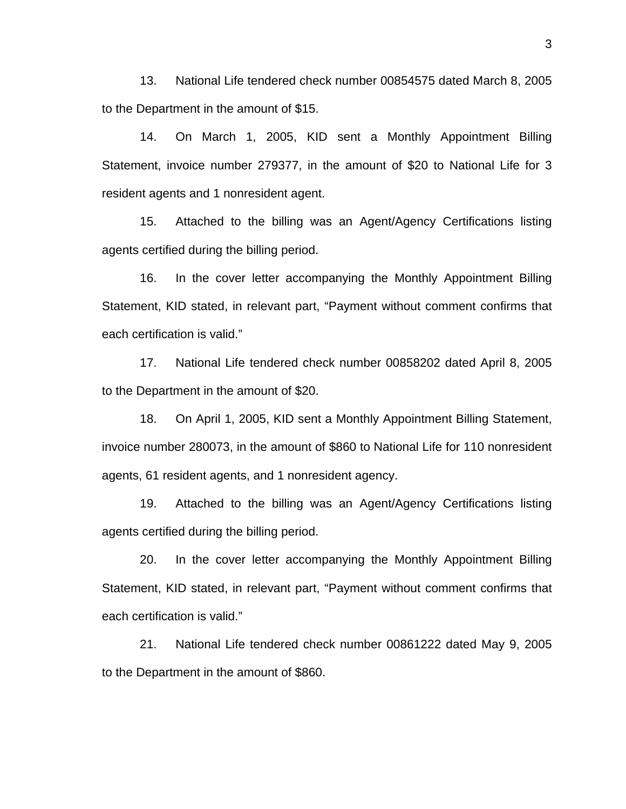13. National Life tendered check number 00854575 dated March 8, 2005 to the Department in the amount of \$15.

14. On March 1, 2005, KID sent a Monthly Appointment Billing Statement, invoice number 279377, in the amount of \$20 to National Life for 3 resident agents and 1 nonresident agent.

15. Attached to the billing was an Agent/Agency Certifications listing agents certified during the billing period.

16. In the cover letter accompanying the Monthly Appointment Billing Statement, KID stated, in relevant part, "Payment without comment confirms that each certification is valid."

17. National Life tendered check number 00858202 dated April 8, 2005 to the Department in the amount of \$20.

18. On April 1, 2005, KID sent a Monthly Appointment Billing Statement, invoice number 280073, in the amount of \$860 to National Life for 110 nonresident agents, 61 resident agents, and 1 nonresident agency.

19. Attached to the billing was an Agent/Agency Certifications listing agents certified during the billing period.

20. In the cover letter accompanying the Monthly Appointment Billing Statement, KID stated, in relevant part, "Payment without comment confirms that each certification is valid."

21. National Life tendered check number 00861222 dated May 9, 2005 to the Department in the amount of \$860.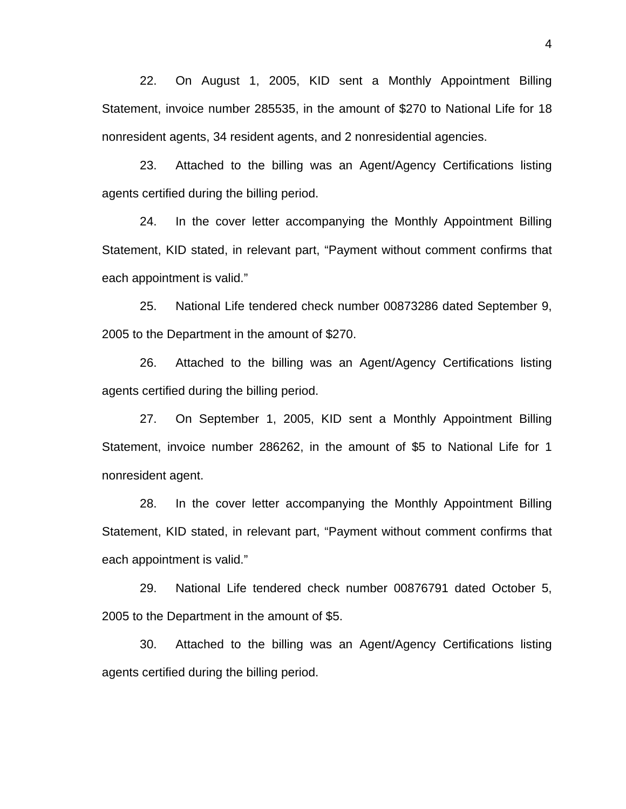22. On August 1, 2005, KID sent a Monthly Appointment Billing Statement, invoice number 285535, in the amount of \$270 to National Life for 18 nonresident agents, 34 resident agents, and 2 nonresidential agencies.

23. Attached to the billing was an Agent/Agency Certifications listing agents certified during the billing period.

24. In the cover letter accompanying the Monthly Appointment Billing Statement, KID stated, in relevant part, "Payment without comment confirms that each appointment is valid."

25. National Life tendered check number 00873286 dated September 9, 2005 to the Department in the amount of \$270.

26. Attached to the billing was an Agent/Agency Certifications listing agents certified during the billing period.

27. On September 1, 2005, KID sent a Monthly Appointment Billing Statement, invoice number 286262, in the amount of \$5 to National Life for 1 nonresident agent.

28. In the cover letter accompanying the Monthly Appointment Billing Statement, KID stated, in relevant part, "Payment without comment confirms that each appointment is valid."

29. National Life tendered check number 00876791 dated October 5, 2005 to the Department in the amount of \$5.

30. Attached to the billing was an Agent/Agency Certifications listing agents certified during the billing period.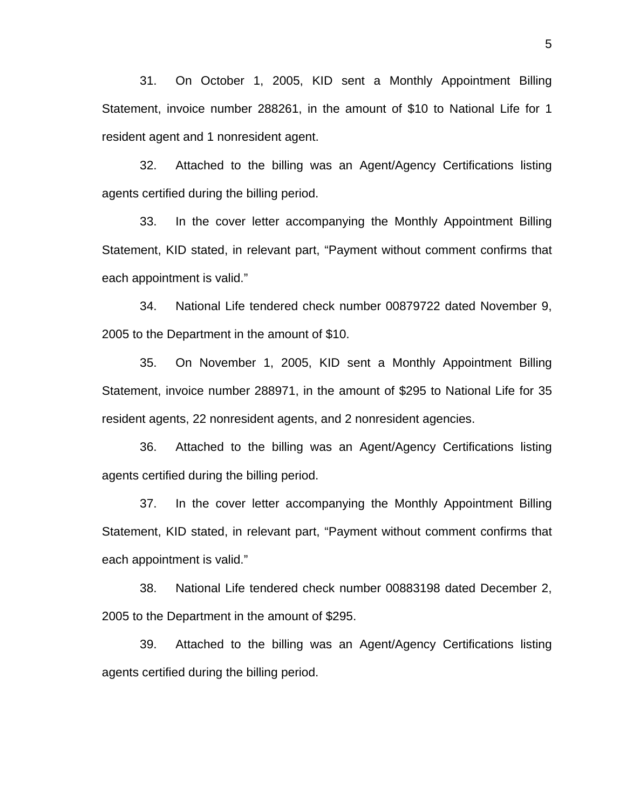31. On October 1, 2005, KID sent a Monthly Appointment Billing Statement, invoice number 288261, in the amount of \$10 to National Life for 1 resident agent and 1 nonresident agent.

32. Attached to the billing was an Agent/Agency Certifications listing agents certified during the billing period.

33. In the cover letter accompanying the Monthly Appointment Billing Statement, KID stated, in relevant part, "Payment without comment confirms that each appointment is valid."

34. National Life tendered check number 00879722 dated November 9, 2005 to the Department in the amount of \$10.

35. On November 1, 2005, KID sent a Monthly Appointment Billing Statement, invoice number 288971, in the amount of \$295 to National Life for 35 resident agents, 22 nonresident agents, and 2 nonresident agencies.

36. Attached to the billing was an Agent/Agency Certifications listing agents certified during the billing period.

37. In the cover letter accompanying the Monthly Appointment Billing Statement, KID stated, in relevant part, "Payment without comment confirms that each appointment is valid."

38. National Life tendered check number 00883198 dated December 2, 2005 to the Department in the amount of \$295.

39. Attached to the billing was an Agent/Agency Certifications listing agents certified during the billing period.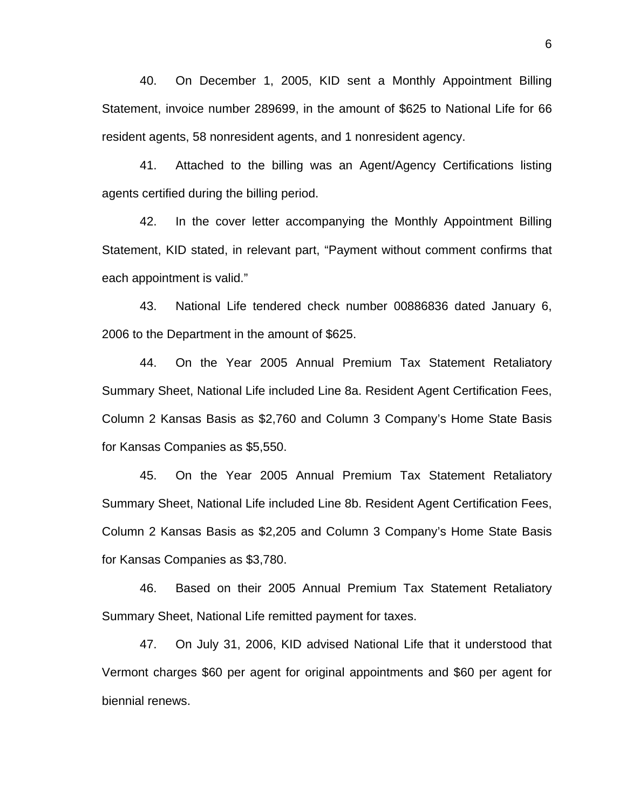40. On December 1, 2005, KID sent a Monthly Appointment Billing Statement, invoice number 289699, in the amount of \$625 to National Life for 66 resident agents, 58 nonresident agents, and 1 nonresident agency.

41. Attached to the billing was an Agent/Agency Certifications listing agents certified during the billing period.

42. In the cover letter accompanying the Monthly Appointment Billing Statement, KID stated, in relevant part, "Payment without comment confirms that each appointment is valid."

43. National Life tendered check number 00886836 dated January 6, 2006 to the Department in the amount of \$625.

44. On the Year 2005 Annual Premium Tax Statement Retaliatory Summary Sheet, National Life included Line 8a. Resident Agent Certification Fees, Column 2 Kansas Basis as \$2,760 and Column 3 Company's Home State Basis for Kansas Companies as \$5,550.

45. On the Year 2005 Annual Premium Tax Statement Retaliatory Summary Sheet, National Life included Line 8b. Resident Agent Certification Fees, Column 2 Kansas Basis as \$2,205 and Column 3 Company's Home State Basis for Kansas Companies as \$3,780.

46. Based on their 2005 Annual Premium Tax Statement Retaliatory Summary Sheet, National Life remitted payment for taxes.

47. On July 31, 2006, KID advised National Life that it understood that Vermont charges \$60 per agent for original appointments and \$60 per agent for biennial renews.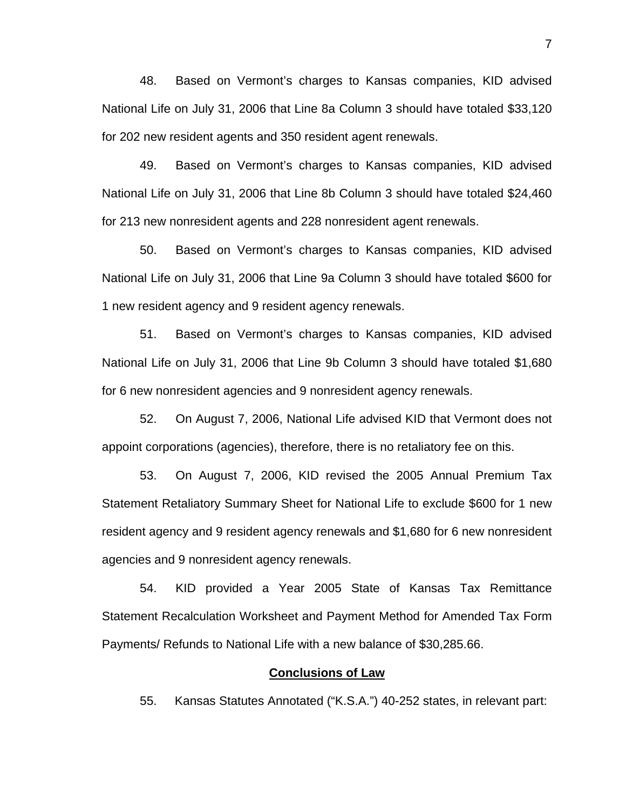48. Based on Vermont's charges to Kansas companies, KID advised National Life on July 31, 2006 that Line 8a Column 3 should have totaled \$33,120 for 202 new resident agents and 350 resident agent renewals.

49. Based on Vermont's charges to Kansas companies, KID advised National Life on July 31, 2006 that Line 8b Column 3 should have totaled \$24,460 for 213 new nonresident agents and 228 nonresident agent renewals.

50. Based on Vermont's charges to Kansas companies, KID advised National Life on July 31, 2006 that Line 9a Column 3 should have totaled \$600 for 1 new resident agency and 9 resident agency renewals.

51. Based on Vermont's charges to Kansas companies, KID advised National Life on July 31, 2006 that Line 9b Column 3 should have totaled \$1,680 for 6 new nonresident agencies and 9 nonresident agency renewals.

52. On August 7, 2006, National Life advised KID that Vermont does not appoint corporations (agencies), therefore, there is no retaliatory fee on this.

53. On August 7, 2006, KID revised the 2005 Annual Premium Tax Statement Retaliatory Summary Sheet for National Life to exclude \$600 for 1 new resident agency and 9 resident agency renewals and \$1,680 for 6 new nonresident agencies and 9 nonresident agency renewals.

54. KID provided a Year 2005 State of Kansas Tax Remittance Statement Recalculation Worksheet and Payment Method for Amended Tax Form Payments/ Refunds to National Life with a new balance of \$30,285.66.

### **Conclusions of Law**

55. Kansas Statutes Annotated ("K.S.A.") 40-252 states, in relevant part: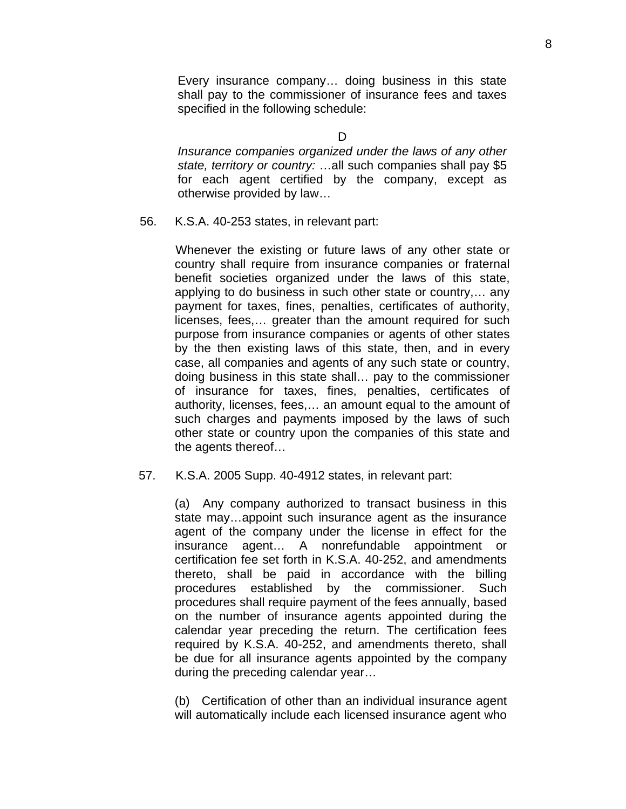Every insurance company… doing business in this state shall pay to the commissioner of insurance fees and taxes specified in the following schedule:

 $\mathsf{D}$ 

*Insurance companies organized under the laws of any other state, territory or country:* …all such companies shall pay \$5 for each agent certified by the company, except as otherwise provided by law…

56. K.S.A. 40-253 states, in relevant part:

 Whenever the existing or future laws of any other state or country shall require from insurance companies or fraternal benefit societies organized under the laws of this state, applying to do business in such other state or country,… any payment for taxes, fines, penalties, certificates of authority, licenses, fees,… greater than the amount required for such purpose from insurance companies or agents of other states by the then existing laws of this state, then, and in every case, all companies and agents of any such state or country, doing business in this state shall… pay to the commissioner of insurance for taxes, fines, penalties, certificates of authority, licenses, fees,… an amount equal to the amount of such charges and payments imposed by the laws of such other state or country upon the companies of this state and the agents thereof…

57. K.S.A. 2005 Supp. 40-4912 states, in relevant part:

(a) Any company authorized to transact business in this state may…appoint such insurance agent as the insurance agent of the company under the license in effect for the insurance agent… A nonrefundable appointment or certification fee set forth in K.S.A. 40-252, and amendments thereto, shall be paid in accordance with the billing procedures established by the commissioner. Such procedures shall require payment of the fees annually, based on the number of insurance agents appointed during the calendar year preceding the return. The certification fees required by K.S.A. 40-252, and amendments thereto, shall be due for all insurance agents appointed by the company during the preceding calendar year…

(b) Certification of other than an individual insurance agent will automatically include each licensed insurance agent who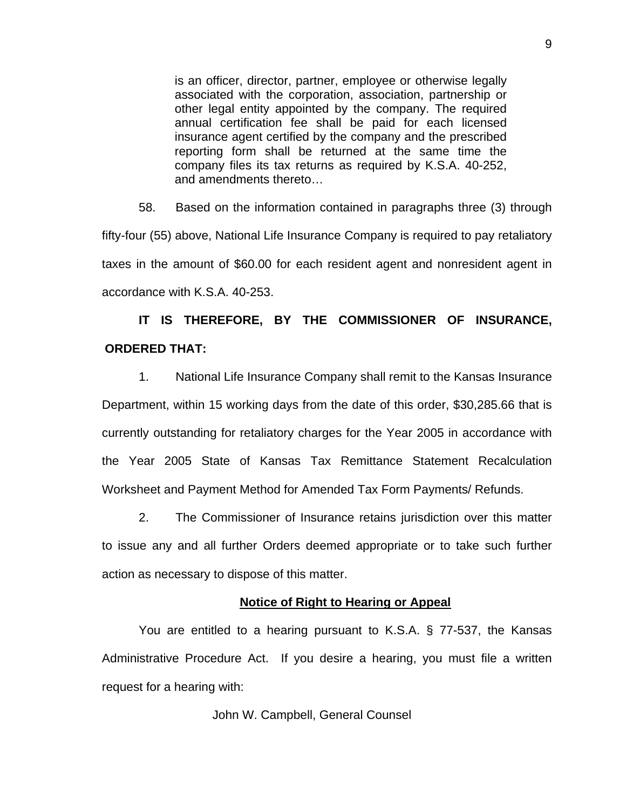is an officer, director, partner, employee or otherwise legally associated with the corporation, association, partnership or other legal entity appointed by the company. The required annual certification fee shall be paid for each licensed insurance agent certified by the company and the prescribed reporting form shall be returned at the same time the company files its tax returns as required by K.S.A. 40-252, and amendments thereto…

58. Based on the information contained in paragraphs three (3) through fifty-four (55) above, National Life Insurance Company is required to pay retaliatory taxes in the amount of \$60.00 for each resident agent and nonresident agent in accordance with K.S.A. 40-253.

# **IT IS THEREFORE, BY THE COMMISSIONER OF INSURANCE, ORDERED THAT:**

1. National Life Insurance Company shall remit to the Kansas Insurance Department, within 15 working days from the date of this order, \$30,285.66 that is currently outstanding for retaliatory charges for the Year 2005 in accordance with the Year 2005 State of Kansas Tax Remittance Statement Recalculation Worksheet and Payment Method for Amended Tax Form Payments/ Refunds.

2. The Commissioner of Insurance retains jurisdiction over this matter to issue any and all further Orders deemed appropriate or to take such further action as necessary to dispose of this matter.

## **Notice of Right to Hearing or Appeal**

You are entitled to a hearing pursuant to K.S.A. § 77-537, the Kansas Administrative Procedure Act. If you desire a hearing, you must file a written request for a hearing with:

John W. Campbell, General Counsel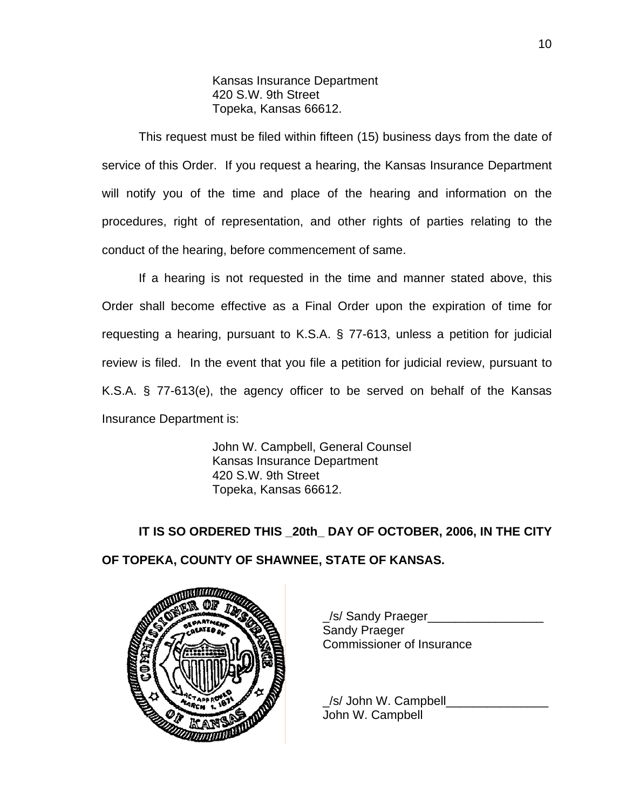Kansas Insurance Department 420 S.W. 9th Street Topeka, Kansas 66612.

This request must be filed within fifteen (15) business days from the date of service of this Order. If you request a hearing, the Kansas Insurance Department will notify you of the time and place of the hearing and information on the procedures, right of representation, and other rights of parties relating to the conduct of the hearing, before commencement of same.

If a hearing is not requested in the time and manner stated above, this Order shall become effective as a Final Order upon the expiration of time for requesting a hearing, pursuant to K.S.A. § 77-613, unless a petition for judicial review is filed. In the event that you file a petition for judicial review, pursuant to K.S.A. § 77-613(e), the agency officer to be served on behalf of the Kansas Insurance Department is:

> John W. Campbell, General Counsel Kansas Insurance Department 420 S.W. 9th Street Topeka, Kansas 66612.

**IT IS SO ORDERED THIS \_20th\_ DAY OF OCTOBER, 2006, IN THE CITY OF TOPEKA, COUNTY OF SHAWNEE, STATE OF KANSAS.** 



 \_/s/ Sandy Praeger\_\_\_\_\_\_\_\_\_\_\_\_\_\_\_\_\_ Sandy Praeger Commissioner of Insurance

 $\angle$ s/ John W. Campbell John W. Campbell